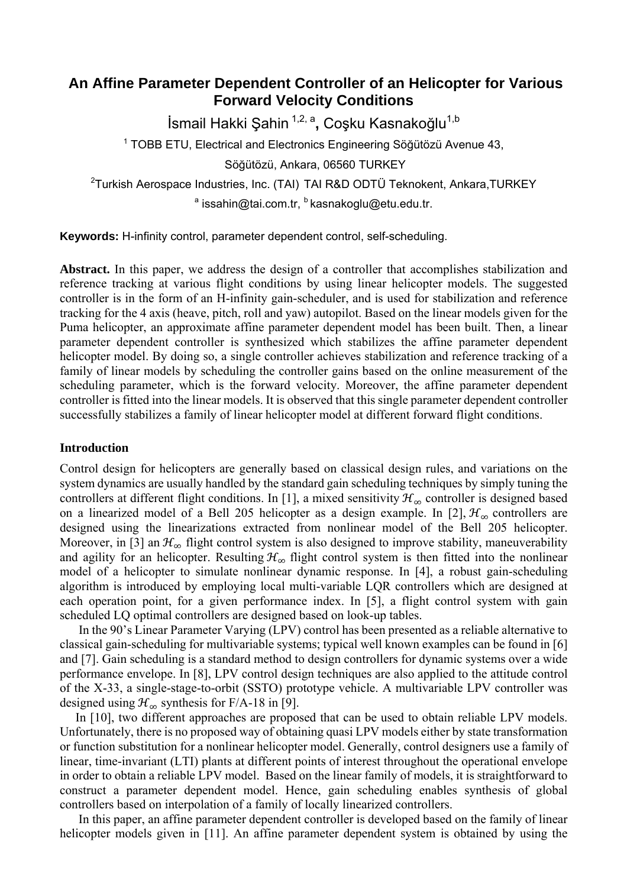# **An Affine Parameter Dependent Controller of an Helicopter for Various Forward Velocity Conditions**

İsmail Hakki Şahin <sup>1,2, a</sup>, Coşku Kasnakoğlu<sup>1,b</sup>

<sup>1</sup> TOBB ETU, Electrical and Electronics Engineering Söğütözü Avenue 43, Söğütözü, Ankara, 06560 TURKEY

<sup>2</sup>Turkish Aerospace Industries, Inc. (TAI) TAI R&D ODTÜ Teknokent, Ankara,TURKEY <sup>a</sup> issahin@tai.com.tr, <sup>b</sup> kasnakoglu@etu.edu.tr.

**Keywords:** H-infinity control, parameter dependent control, self-scheduling.

**Abstract.** In this paper, we address the design of a controller that accomplishes stabilization and reference tracking at various flight conditions by using linear helicopter models. The suggested controller is in the form of an H-infinity gain-scheduler, and is used for stabilization and reference tracking for the 4 axis (heave, pitch, roll and yaw) autopilot. Based on the linear models given for the Puma helicopter, an approximate affine parameter dependent model has been built. Then, a linear parameter dependent controller is synthesized which stabilizes the affine parameter dependent helicopter model. By doing so, a single controller achieves stabilization and reference tracking of a family of linear models by scheduling the controller gains based on the online measurement of the scheduling parameter, which is the forward velocity. Moreover, the affine parameter dependent controller is fitted into the linear models. It is observed that this single parameter dependent controller successfully stabilizes a family of linear helicopter model at different forward flight conditions.

## **Introduction**

Control design for helicopters are generally based on classical design rules, and variations on the system dynamics are usually handled by the standard gain scheduling techniques by simply tuning the controllers at different flight conditions. In [1], a mixed sensitivity  $\mathcal{H}_{\infty}$  controller is designed based on a linearized model of a Bell 205 helicopter as a design example. In [2],  $\mathcal{H}_{\infty}$  controllers are designed using the linearizations extracted from nonlinear model of the Bell 205 helicopter. Moreover, in [3] an  $\mathcal{H}_{\infty}$  flight control system is also designed to improve stability, maneuverability and agility for an helicopter. Resulting  $H_{\infty}$  flight control system is then fitted into the nonlinear model of a helicopter to simulate nonlinear dynamic response. In [4], a robust gain-scheduling algorithm is introduced by employing local multi-variable LQR controllers which are designed at each operation point, for a given performance index. In [5], a flight control system with gain scheduled LQ optimal controllers are designed based on look-up tables.

 In the 90's Linear Parameter Varying (LPV) control has been presented as a reliable alternative to classical gain-scheduling for multivariable systems; typical well known examples can be found in [6] and [7]. Gain scheduling is a standard method to design controllers for dynamic systems over a wide performance envelope. In [8], LPV control design techniques are also applied to the attitude control of the X-33, a single-stage-to-orbit (SSTO) prototype vehicle. A multivariable LPV controller was designed using  $\mathcal{H}_{\infty}$  synthesis for F/A-18 in [9].

In [10], two different approaches are proposed that can be used to obtain reliable LPV models. Unfortunately, there is no proposed way of obtaining quasi LPV models either by state transformation or function substitution for a nonlinear helicopter model. Generally, control designers use a family of linear, time-invariant (LTI) plants at different points of interest throughout the operational envelope in order to obtain a reliable LPV model. Based on the linear family of models, it is straightforward to construct a parameter dependent model. Hence, gain scheduling enables synthesis of global controllers based on interpolation of a family of locally linearized controllers.

 In this paper, an affine parameter dependent controller is developed based on the family of linear helicopter models given in [11]. An affine parameter dependent system is obtained by using the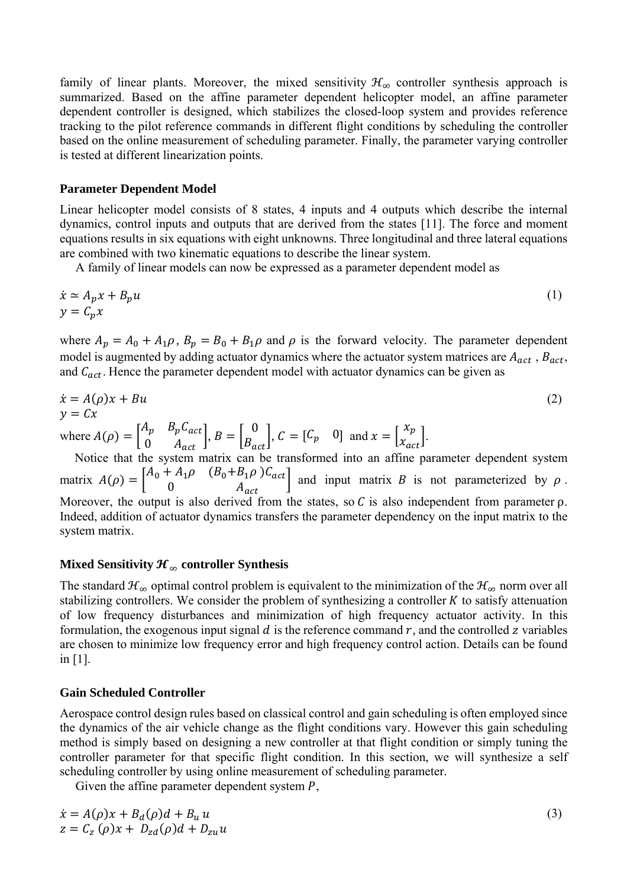family of linear plants. Moreover, the mixed sensitivity  $\mathcal{H}_{\infty}$  controller synthesis approach is summarized. Based on the affine parameter dependent helicopter model, an affine parameter dependent controller is designed, which stabilizes the closed-loop system and provides reference tracking to the pilot reference commands in different flight conditions by scheduling the controller based on the online measurement of scheduling parameter. Finally, the parameter varying controller is tested at different linearization points.

## **Parameter Dependent Model**

Linear helicopter model consists of 8 states, 4 inputs and 4 outputs which describe the internal dynamics, control inputs and outputs that are derived from the states [11]. The force and moment equations results in six equations with eight unknowns. Three longitudinal and three lateral equations are combined with two kinematic equations to describe the linear system.

A family of linear models can now be expressed as a parameter dependent model as

$$
\begin{aligned}\n\dot{x} &\simeq A_p x + B_p u \\
y &= C_p x\n\end{aligned} \tag{1}
$$

where  $A_p = A_0 + A_1 \rho$ ,  $B_p = B_0 + B_1 \rho$  and  $\rho$  is the forward velocity. The parameter dependent model is augmented by adding actuator dynamics where the actuator system matrices are  $A_{act}$ ,  $B_{act}$ , and  $C_{act}$ . Hence the parameter dependent model with actuator dynamics can be given as

$$
\dot{x} = A(\rho)x + Bu
$$
  
\n
$$
y = Cx
$$
  
\nwhere  $A(\rho) = \begin{bmatrix} A_p & B_p C_{act} \\ 0 & A_{act} \end{bmatrix}$ ,  $B = \begin{bmatrix} 0 \\ B_{act} \end{bmatrix}$ ,  $C = \begin{bmatrix} C_p & 0 \end{bmatrix}$  and  $x = \begin{bmatrix} x_p \\ x_{act} \end{bmatrix}$ . (2)

 $0$   $A_{act}$ Notice that the system matrix can be transformed into an affine parameter dependent system matrix  $A(\rho) = \begin{bmatrix} A_0 + A_1 \rho & (B_0 + B_1 \rho) C_{act} \end{bmatrix}$  $\begin{bmatrix} a_1 \cdots a_0 \end{bmatrix}$  and input matrix B is not parameterized by  $\rho$ . Moreover, the output is also derived from the states, so  $C$  is also independent from parameter  $\rho$ . Indeed, addition of actuator dynamics transfers the parameter dependency on the input matrix to the system matrix.

# **Mixed Sensitivity**  $\mathcal{H}_{\infty}$  **controller Synthesis**

The standard  $\mathcal{H}_{\infty}$  optimal control problem is equivalent to the minimization of the  $\mathcal{H}_{\infty}$  norm over all stabilizing controllers. We consider the problem of synthesizing a controller  $K$  to satisfy attenuation of low frequency disturbances and minimization of high frequency actuator activity. In this formulation, the exogenous input signal  $d$  is the reference command  $r$ , and the controlled  $z$  variables are chosen to minimize low frequency error and high frequency control action. Details can be found in [1].

## **Gain Scheduled Controller**

Aerospace control design rules based on classical control and gain scheduling is often employed since the dynamics of the air vehicle change as the flight conditions vary. However this gain scheduling method is simply based on designing a new controller at that flight condition or simply tuning the controller parameter for that specific flight condition. In this section, we will synthesize a self scheduling controller by using online measurement of scheduling parameter.

Given the affine parameter dependent system  $P$ ,

$$
\dot{x} = A(\rho)x + B_d(\rho)d + B_u u
$$
  
\n
$$
z = C_z(\rho)x + D_{zd}(\rho)d + D_{zu}u
$$

(3)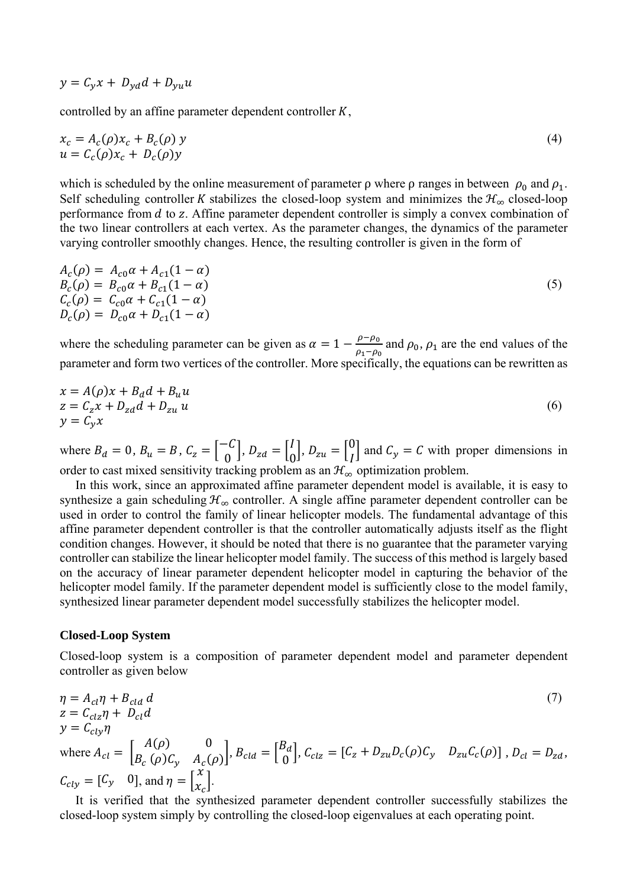$$
y = C_y x + D_{yd} d + D_{yu} u
$$

controlled by an affine parameter dependent controller  $K$ ,

$$
x_c = A_c(\rho)x_c + B_c(\rho)y
$$
  
 
$$
u = C_c(\rho)x_c + D_c(\rho)y
$$
 (4)

which is scheduled by the online measurement of parameter  $\rho$  where  $\rho$  ranges in between  $\rho_0$  and  $\rho_1$ . Self scheduling controller K stabilizes the closed-loop system and minimizes the  $\mathcal{H}_{\infty}$  closed-loop performance from  $d$  to  $z$ . Affine parameter dependent controller is simply a convex combination of the two linear controllers at each vertex. As the parameter changes, the dynamics of the parameter varying controller smoothly changes. Hence, the resulting controller is given in the form of

$$
A_c(\rho) = A_{c0}\alpha + A_{c1}(1 - \alpha)
$$
  
\n
$$
B_c(\rho) = B_{c0}\alpha + B_{c1}(1 - \alpha)
$$
  
\n
$$
C_c(\rho) = C_{c0}\alpha + C_{c1}(1 - \alpha)
$$
  
\n
$$
D_c(\rho) = D_{c0}\alpha + D_{c1}(1 - \alpha)
$$
\n(5)

where the scheduling parameter can be given as  $\alpha = 1 - \frac{\rho - \rho_0}{\rho_1 - \rho_0}$  and  $\rho_0$ ,  $\rho_1$  are the end values of the parameter and form two vertices of the controller. More specifically, the equations can be rewritten as

$$
x = A(\rho)x + B_d d + B_u u
$$
  
\n
$$
z = C_z x + D_{zd} d + D_{zu} u
$$
  
\n
$$
y = C_y x
$$
\n(6)

where  $B_d = 0$ ,  $B_u = B$ ,  $C_z = \begin{bmatrix} -C \\ 0 \end{bmatrix}$ ,  $D_{zd} = \begin{bmatrix} 1 \\ 0 \end{bmatrix}$ ,  $D_{zu} = \begin{bmatrix} 0 \\ I \end{bmatrix}$  and  $C_y = C$  with proper dimensions in order to cast mixed sensitivity tracking problem as an  $\mathcal{H}_{\infty}$  optimization problem.

 In this work, since an approximated affine parameter dependent model is available, it is easy to synthesize a gain scheduling  $\mathcal{H}_{\infty}$  controller. A single affine parameter dependent controller can be used in order to control the family of linear helicopter models. The fundamental advantage of this affine parameter dependent controller is that the controller automatically adjusts itself as the flight condition changes. However, it should be noted that there is no guarantee that the parameter varying controller can stabilize the linear helicopter model family. The success of this method is largely based on the accuracy of linear parameter dependent helicopter model in capturing the behavior of the helicopter model family. If the parameter dependent model is sufficiently close to the model family, synthesized linear parameter dependent model successfully stabilizes the helicopter model.

#### **Closed-Loop System**

Closed-loop system is a composition of parameter dependent model and parameter dependent controller as given below

$$
\eta = A_{cl}\eta + B_{cld}d
$$
\n
$$
z = C_{clz}\eta + D_{cl}d
$$
\n
$$
y = C_{cly}\eta
$$
\nwhere  $A_{cl} = \begin{bmatrix} A(\rho) & 0 \\ B_c(\rho)C_y & A_c(\rho) \end{bmatrix}$ ,  $B_{cld} = \begin{bmatrix} B_d \\ 0 \end{bmatrix}$ ,  $C_{clz} = \begin{bmatrix} C_z + D_{zu}D_c(\rho)C_y & D_{zu}C_c(\rho) \end{bmatrix}$ ,  $D_{cl} = D_{zd}$ ,  
\n $C_{cly} = \begin{bmatrix} C_y & 0 \end{bmatrix}$ , and  $\eta = \begin{bmatrix} x \\ x_c \end{bmatrix}$ .

 It is verified that the synthesized parameter dependent controller successfully stabilizes the closed-loop system simply by controlling the closed-loop eigenvalues at each operating point.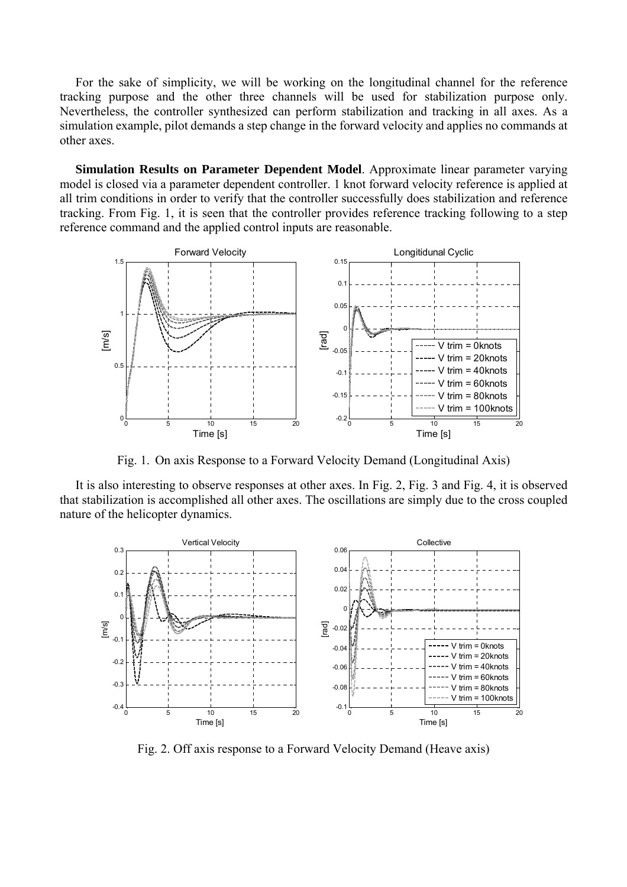For the sake of simplicity, we will be working on the longitudinal channel for the reference tracking purpose and the other three channels will be used for stabilization purpose only. Nevertheless, the controller synthesized can perform stabilization and tracking in all axes. As a simulation example, pilot demands a step change in the forward velocity and applies no commands at other axes.

 **Simulation Results on Parameter Dependent Model**. Approximate linear parameter varying model is closed via a parameter dependent controller. 1 knot forward velocity reference is applied at all trim conditions in order to verify that the controller successfully does stabilization and reference tracking. From Fig. 1, it is seen that the controller provides reference tracking following to a step reference command and the applied control inputs are reasonable.



Fig. 1. On axis Response to a Forward Velocity Demand (Longitudinal Axis)

 It is also interesting to observe responses at other axes. In Fig. 2, Fig. 3 and Fig. 4, it is observed that stabilization is accomplished all other axes. The oscillations are simply due to the cross coupled nature of the helicopter dynamics.



Fig. 2. Off axis response to a Forward Velocity Demand (Heave axis)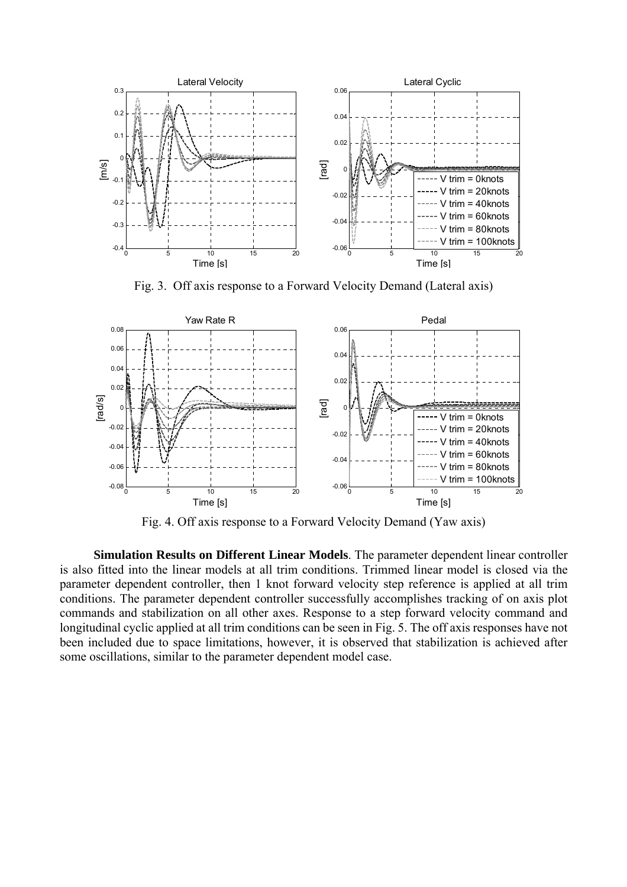

Fig. 3. Off axis response to a Forward Velocity Demand (Lateral axis)



Fig. 4. Off axis response to a Forward Velocity Demand (Yaw axis)

 **Simulation Results on Different Linear Models**. The parameter dependent linear controller is also fitted into the linear models at all trim conditions. Trimmed linear model is closed via the parameter dependent controller, then 1 knot forward velocity step reference is applied at all trim conditions. The parameter dependent controller successfully accomplishes tracking of on axis plot commands and stabilization on all other axes. Response to a step forward velocity command and longitudinal cyclic applied at all trim conditions can be seen in Fig. 5. The off axis responses have not been included due to space limitations, however, it is observed that stabilization is achieved after some oscillations, similar to the parameter dependent model case.